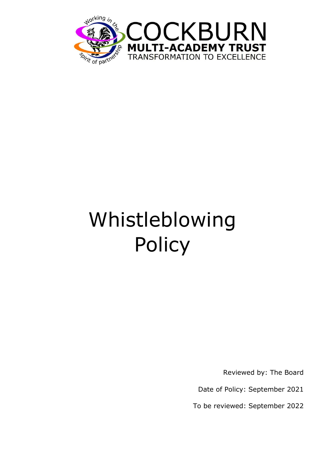

# Whistleblowing **Policy**

Reviewed by: The Board

Date of Policy: September 2021

To be reviewed: September 2022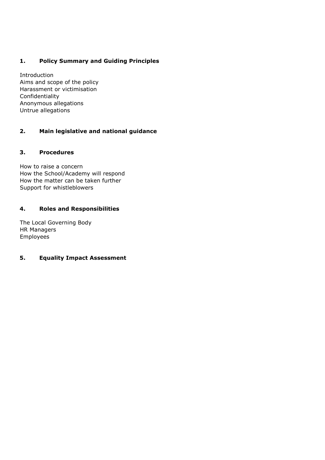# **1. Policy Summary and Guiding Principles**

Introduction Aims and scope of the policy Harassment or victimisation Confidentiality Anonymous allegations Untrue allegations

# **2. Main legislative and national guidance**

## **3. Procedures**

How to raise a concern How the School/Academy will respond How the matter can be taken further Support for whistleblowers

## **4. Roles and Responsibilities**

The Local Governing Body HR Managers Employees

# **5. Equality Impact Assessment**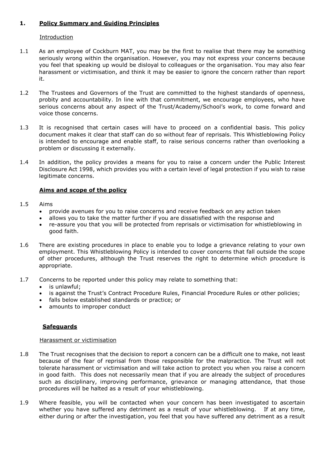# **1. Policy Summary and Guiding Principles**

## **Introduction**

- 1.1 As an employee of Cockburn MAT, you may be the first to realise that there may be something seriously wrong within the organisation. However, you may not express your concerns because you feel that speaking up would be disloyal to colleagues or the organisation. You may also fear harassment or victimisation, and think it may be easier to ignore the concern rather than report it.
- 1.2 The Trustees and Governors of the Trust are committed to the highest standards of openness, probity and accountability. In line with that commitment, we encourage employees, who have serious concerns about any aspect of the Trust/Academy/School's work, to come forward and voice those concerns.
- 1.3 It is recognised that certain cases will have to proceed on a confidential basis. This policy document makes it clear that staff can do so without fear of reprisals. This Whistleblowing Policy is intended to encourage and enable staff, to raise serious concerns rather than overlooking a problem or discussing it externally.
- 1.4 In addition, the policy provides a means for you to raise a concern under the Public Interest Disclosure Act 1998, which provides you with a certain level of legal protection if you wish to raise legitimate concerns.

## **Aims and scope of the policy**

#### 1.5 Aims

- provide avenues for you to raise concerns and receive feedback on any action taken
- allows you to take the matter further if you are dissatisfied with the response and
- re-assure you that you will be protected from reprisals or victimisation for whistleblowing in good faith.
- 1.6 There are existing procedures in place to enable you to lodge a grievance relating to your own employment. This Whistleblowing Policy is intended to cover concerns that fall outside the scope of other procedures, although the Trust reserves the right to determine which procedure is appropriate.
- 1.7 Concerns to be reported under this policy may relate to something that:
	- is unlawful;
	- is against the Trust's Contract Procedure Rules, Financial Procedure Rules or other policies;
	- falls below established standards or practice; or
	- amounts to improper conduct

## **Safeguards**

#### Harassment or victimisation

- 1.8 The Trust recognises that the decision to report a concern can be a difficult one to make, not least because of the fear of reprisal from those responsible for the malpractice. The Trust will not tolerate harassment or victimisation and will take action to protect you when you raise a concern in good faith. This does not necessarily mean that if you are already the subject of procedures such as disciplinary, improving performance, grievance or managing attendance, that those procedures will be halted as a result of your whistleblowing.
- 1.9 Where feasible, you will be contacted when your concern has been investigated to ascertain whether you have suffered any detriment as a result of your whistleblowing. If at any time, either during or after the investigation, you feel that you have suffered any detriment as a result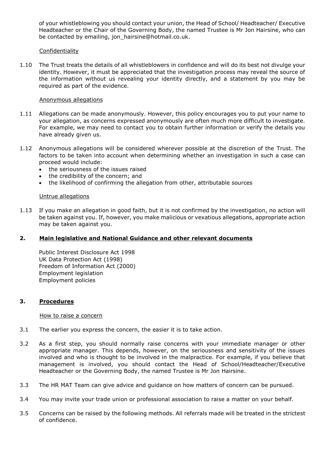of your whistleblowing you should contact your union, the Head of School/ Headteacher/ Executive Headteacher or the Chair of the Governing Body, the named Trustee is Mr Jon Hairsine, who can be contacted by emailing, jon\_hairsine@hotmail.co.uk.

## Confidentiality

1.10 The Trust treats the details of all whistleblowers in confidence and will do its best not divulge your identity. However, it must be appreciated that the investigation process may reveal the source of the information without us revealing your identity directly, and a statement by you may be required as part of the evidence.

#### Anonymous allegations

- 1.11 Allegations can be made anonymously. However, this policy encourages you to put your name to your allegation, as concerns expressed anonymously are often much more difficult to investigate. For example, we may need to contact you to obtain further information or verify the details you have already given us.
- 1.12 Anonymous allegations will be considered wherever possible at the discretion of the Trust. The factors to be taken into account when determining whether an investigation in such a case can proceed would include:
	- the seriousness of the issues raised
	- the credibility of the concern; and
	- the likelihood of confirming the allegation from other, attributable sources

#### Untrue allegations

1.13 If you make an allegation in good faith, but it is not confirmed by the investigation, no action will be taken against you. If, however, you make malicious or vexatious allegations, appropriate action may be taken against you.

## **2. Main legislative and National Guidance and other relevant documents**

Public Interest Disclosure Act 1998 UK Data Protection Act (1998) Freedom of Information Act (2000) Employment legislation Employment policies

#### **3. Procedures**

#### How to raise a concern

- 3.1 The earlier you express the concern, the easier it is to take action.
- 3.2 As a first step, you should normally raise concerns with your immediate manager or other appropriate manager. This depends, however, on the seriousness and sensitivity of the issues involved and who is thought to be involved in the malpractice. For example, if you believe that management is involved, you should contact the Head of School/Headteacher/Executive Headteacher or the Governing Body, the named Trustee is Mr Jon Hairsine.
- 3.3 The HR MAT Team can give advice and guidance on how matters of concern can be pursued.
- 3.4 You may invite your trade union or professional association to raise a matter on your behalf.
- 3.5 Concerns can be raised by the following methods. All referrals made will be treated in the strictest of confidence.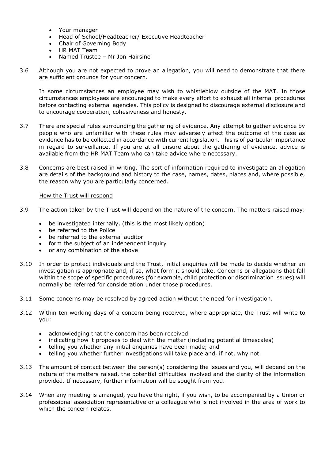- Your manager
- Head of School/Headteacher/ Executive Headteacher
- Chair of Governing Body
- HR MAT Team
- Named Trustee Mr Jon Hairsine
- 3.6 Although you are not expected to prove an allegation, you will need to demonstrate that there are sufficient grounds for your concern.

In some circumstances an employee may wish to whistleblow outside of the MAT. In those circumstances employees are encouraged to make every effort to exhaust all internal procedures before contacting external agencies. This policy is designed to discourage external disclosure and to encourage cooperation, cohesiveness and honesty.

- 3.7 There are special rules surrounding the gathering of evidence. Any attempt to gather evidence by people who are unfamiliar with these rules may adversely affect the outcome of the case as evidence has to be collected in accordance with current legislation. This is of particular importance in regard to surveillance. If you are at all unsure about the gathering of evidence, advice is available from the HR MAT Team who can take advice where necessary.
- 3.8 Concerns are best raised in writing. The sort of information required to investigate an allegation are details of the background and history to the case, names, dates, places and, where possible, the reason why you are particularly concerned.

#### How the Trust will respond

- 3.9 The action taken by the Trust will depend on the nature of the concern. The matters raised may:
	- be investigated internally, (this is the most likely option)
	- be referred to the Police
	- be referred to the external auditor
	- form the subject of an independent inquiry
	- or any combination of the above
- 3.10 In order to protect individuals and the Trust, initial enquiries will be made to decide whether an investigation is appropriate and, if so, what form it should take. Concerns or allegations that fall within the scope of specific procedures (for example, child protection or discrimination issues) will normally be referred for consideration under those procedures.
- 3.11 Some concerns may be resolved by agreed action without the need for investigation.
- 3.12 Within ten working days of a concern being received, where appropriate, the Trust will write to you:
	- acknowledging that the concern has been received
	- indicating how it proposes to deal with the matter (including potential timescales)
	- telling you whether any initial enquiries have been made; and
	- telling you whether further investigations will take place and, if not, why not.
- 3.13 The amount of contact between the person(s) considering the issues and you, will depend on the nature of the matters raised, the potential difficulties involved and the clarity of the information provided. If necessary, further information will be sought from you.
- 3.14 When any meeting is arranged, you have the right, if you wish, to be accompanied by a Union or professional association representative or a colleague who is not involved in the area of work to which the concern relates.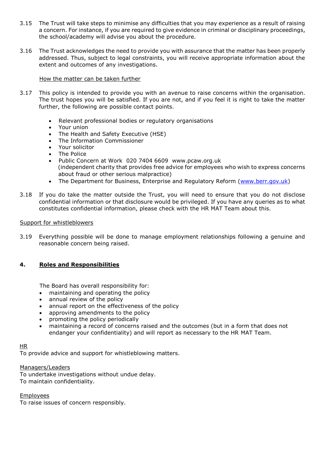- 3.15 The Trust will take steps to minimise any difficulties that you may experience as a result of raising a concern. For instance, if you are required to give evidence in criminal or disciplinary proceedings, the school/academy will advise you about the procedure.
- 3.16 The Trust acknowledges the need to provide you with assurance that the matter has been properly addressed. Thus, subject to legal constraints, you will receive appropriate information about the extent and outcomes of any investigations**.**

## How the matter can be taken further

- 3.17 This policy is intended to provide you with an avenue to raise concerns within the organisation. The trust hopes you will be satisfied. If you are not, and if you feel it is right to take the matter further, the following are possible contact points.
	- Relevant professional bodies or regulatory organisations
	- Your union
	- The Health and Safety Executive (HSE)
	- The Information Commissioner
	- Your solicitor
	- The Police
	- Public Concern at Work 020 7404 6609 www.pcaw.org.uk (independent charity that provides free advice for employees who wish to express concerns about fraud or other serious malpractice)
	- The Department for Business, Enterprise and Regulatory Reform [\(www.berr.gov.uk\)](http://www.berr.gov.uk/)
- 3.18 If you do take the matter outside the Trust, you will need to ensure that you do not disclose confidential information or that disclosure would be privileged. If you have any queries as to what constitutes confidential information, please check with the HR MAT Team about this.

## Support for whistleblowers

3.19 Everything possible will be done to manage employment relationships following a genuine and reasonable concern being raised.

## **4. Roles and Responsibilities**

The Board has overall responsibility for:

- maintaining and operating the policy
- annual review of the policy
- annual report on the effectiveness of the policy
- approving amendments to the policy
- promoting the policy periodically
- maintaining a record of concerns raised and the outcomes (but in a form that does not endanger your confidentiality) and will report as necessary to the HR MAT Team.

#### HR

To provide advice and support for whistleblowing matters.

#### Managers/Leaders

To undertake investigations without undue delay. To maintain confidentiality.

Employees

To raise issues of concern responsibly.